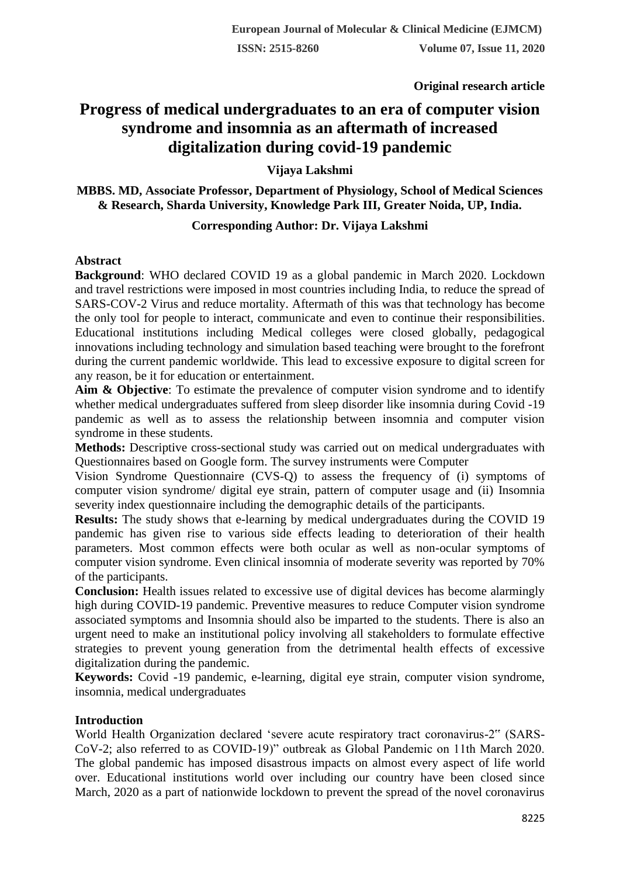**Original research article** 

# **Progress of medical undergraduates to an era of computer vision syndrome and insomnia as an aftermath of increased digitalization during covid-19 pandemic**

**Vijaya Lakshmi**

**MBBS. MD, Associate Professor, Department of Physiology, School of Medical Sciences & Research, Sharda University, Knowledge Park III, Greater Noida, UP, India.**

# **Corresponding Author: Dr. Vijaya Lakshmi**

# **Abstract**

**Background**: WHO declared COVID 19 as a global pandemic in March 2020. Lockdown and travel restrictions were imposed in most countries including India, to reduce the spread of SARS-COV-2 Virus and reduce mortality. Aftermath of this was that technology has become the only tool for people to interact, communicate and even to continue their responsibilities. Educational institutions including Medical colleges were closed globally, pedagogical innovations including technology and simulation based teaching were brought to the forefront during the current pandemic worldwide. This lead to excessive exposure to digital screen for any reason, be it for education or entertainment.

**Aim & Objective**: To estimate the prevalence of computer vision syndrome and to identify whether medical undergraduates suffered from sleep disorder like insomnia during Covid -19 pandemic as well as to assess the relationship between insomnia and computer vision syndrome in these students.

**Methods:** Descriptive cross-sectional study was carried out on medical undergraduates with Questionnaires based on Google form. The survey instruments were Computer

Vision Syndrome Questionnaire (CVS‑Q) to assess the frequency of (i) symptoms of computer vision syndrome/ digital eye strain, pattern of computer usage and (ii) Insomnia severity index questionnaire including the demographic details of the participants.

**Results:** The study shows that e-learning by medical undergraduates during the COVID 19 pandemic has given rise to various side effects leading to deterioration of their health parameters. Most common effects were both ocular as well as non-ocular symptoms of computer vision syndrome. Even clinical insomnia of moderate severity was reported by 70% of the participants.

**Conclusion:** Health issues related to excessive use of digital devices has become alarmingly high during COVID-19 pandemic. Preventive measures to reduce Computer vision syndrome associated symptoms and Insomnia should also be imparted to the students. There is also an urgent need to make an institutional policy involving all stakeholders to formulate effective strategies to prevent young generation from the detrimental health effects of excessive digitalization during the pandemic.

**Keywords:** Covid -19 pandemic, e-learning, digital eye strain, computer vision syndrome, insomnia, medical undergraduates

# **Introduction**

World Health Organization declared 'severe acute respiratory tract coronavirus-2" (SARS-CoV-2; also referred to as COVID-19)" outbreak as Global Pandemic on 11th March 2020. The global pandemic has imposed disastrous impacts on almost every aspect of life world over. Educational institutions world over including our country have been closed since March, 2020 as a part of nationwide lockdown to prevent the spread of the novel coronavirus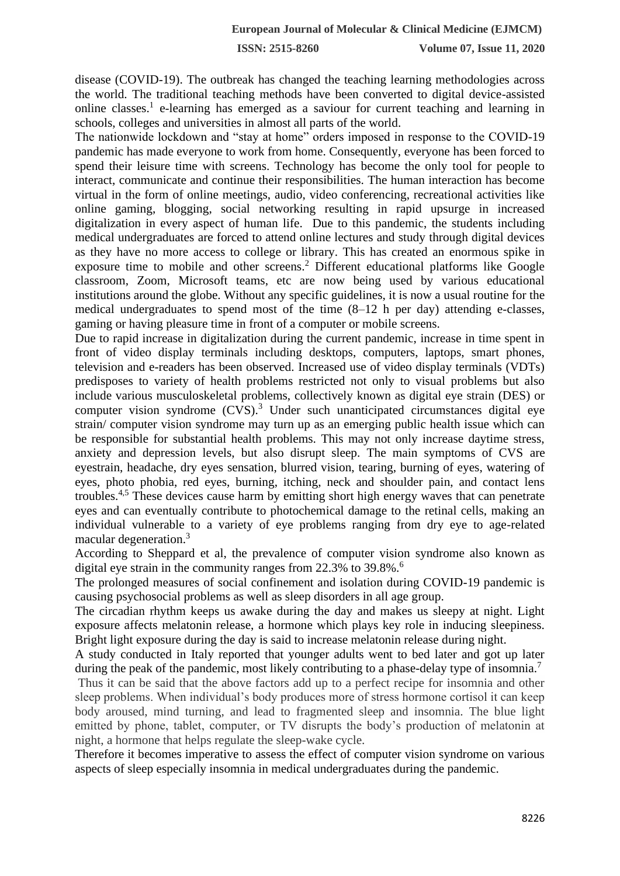disease (COVID-19). The outbreak has changed the teaching learning methodologies across the world. The traditional teaching methods have been converted to digital device‑assisted online classes.<sup>1</sup> e-learning has emerged as a saviour for current teaching and learning in schools, colleges and universities in almost all parts of the world.

The nationwide lockdown and "stay at home" orders imposed in response to the COVID-19 pandemic has made everyone to work from home. Consequently, everyone has been forced to spend their leisure time with screens. Technology has become the only tool for people to interact, communicate and continue their responsibilities. The human interaction has become virtual in the form of online meetings, audio, video conferencing, recreational activities like online gaming, blogging, social networking resulting in rapid upsurge in increased digitalization in every aspect of human life. Due to this pandemic, the students including medical undergraduates are forced to attend online lectures and study through digital devices as they have no more access to college or library. This has created an enormous spike in exposure time to mobile and other screens.<sup>2</sup> Different educational platforms like Google classroom, Zoom, Microsoft teams, etc are now being used by various educational institutions around the globe. Without any specific guidelines, it is now a usual routine for the medical undergraduates to spend most of the time  $(8-12 \text{ h})$  per day) attending e-classes, gaming or having pleasure time in front of a computer or mobile screens.

Due to rapid increase in digitalization during the current pandemic, increase in time spent in front of video display terminals including desktops, computers, laptops, smart phones, television and e-readers has been observed. Increased use of video display terminals (VDTs) predisposes to variety of health problems restricted not only to visual problems but also include various musculoskeletal problems, collectively known as digital eye strain (DES) or computer vision syndrome  $(CVS)$ .<sup>3</sup> Under such unanticipated circumstances digital eye strain/ computer vision syndrome may turn up as an emerging public health issue which can be responsible for substantial health problems. This may not only increase daytime stress, anxiety and depression levels, but also disrupt sleep. The main symptoms of CVS are eyestrain, headache, dry eyes sensation, blurred vision, tearing, burning of eyes, watering of eyes, photo phobia, red eyes, burning, itching, neck and shoulder pain, and contact lens troubles.4,5 These devices cause harm by emitting short high energy waves that can penetrate eyes and can eventually contribute to photochemical damage to the retinal cells, making an individual vulnerable to a variety of eye problems ranging from dry eye to age-related macular degeneration.<sup>3</sup>

According to Sheppard et al, the prevalence of computer vision syndrome also known as digital eye strain in the community ranges from 22.3% to 39.8%.<sup>6</sup>

The prolonged measures of social confinement and isolation during COVID-19 pandemic is causing psychosocial problems as well as sleep disorders in all age group.

The circadian rhythm keeps us awake during the day and makes us sleepy at night. Light exposure affects melatonin release, a hormone which plays key role in inducing sleepiness. Bright light exposure during the day is said to increase melatonin release during night.

A study conducted in Italy reported that younger adults went to bed later and got up later during the peak of the pandemic, most likely contributing to a phase-delay type of insomnia.<sup>7</sup>

Thus it can be said that the above factors add up to a perfect recipe for insomnia and other sleep problems. When individual's body produces more of stress hormone cortisol it can keep body aroused, mind turning, and lead to fragmented sleep and insomnia. The blue light emitted by phone, tablet, computer, or TV disrupts the body's production of melatonin at night, a hormone that helps regulate the sleep-wake cycle.

Therefore it becomes imperative to assess the effect of computer vision syndrome on various aspects of sleep especially insomnia in medical undergraduates during the pandemic.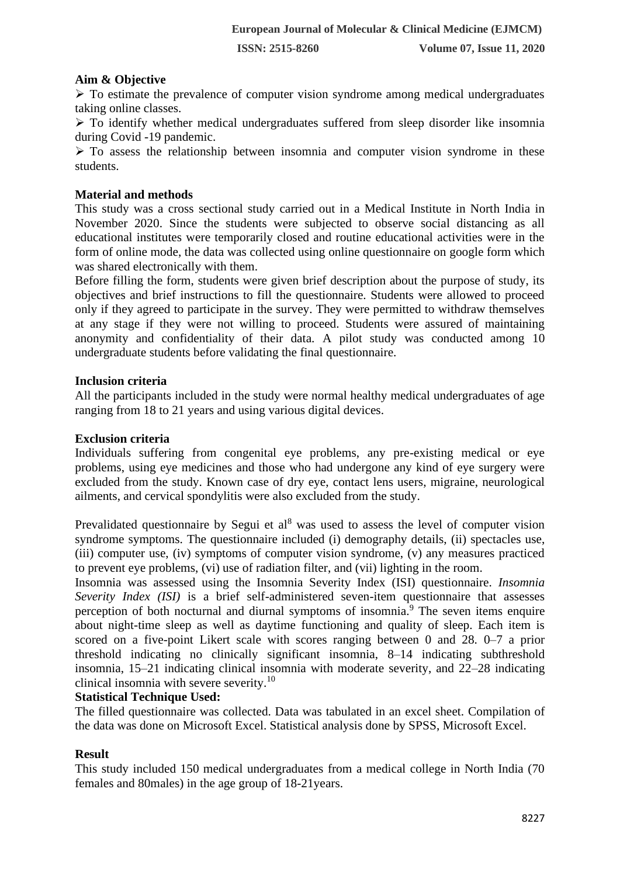#### **Aim & Objective**

 $\triangleright$  To estimate the prevalence of computer vision syndrome among medical undergraduates taking online classes.

 $\triangleright$  To identify whether medical undergraduates suffered from sleep disorder like insomnia during Covid -19 pandemic.

 $\triangleright$  To assess the relationship between insomnia and computer vision syndrome in these students.

#### **Material and methods**

This study was a cross sectional study carried out in a Medical Institute in North India in November 2020. Since the students were subjected to observe social distancing as all educational institutes were temporarily closed and routine educational activities were in the form of online mode, the data was collected using online questionnaire on google form which was shared electronically with them.

Before filling the form, students were given brief description about the purpose of study, its objectives and brief instructions to fill the questionnaire. Students were allowed to proceed only if they agreed to participate in the survey. They were permitted to withdraw themselves at any stage if they were not willing to proceed. Students were assured of maintaining anonymity and confidentiality of their data. A pilot study was conducted among 10 undergraduate students before validating the final questionnaire.

#### **Inclusion criteria**

All the participants included in the study were normal healthy medical undergraduates of age ranging from 18 to 21 years and using various digital devices.

#### **Exclusion criteria**

Individuals suffering from congenital eye problems, any pre-existing medical or eye problems, using eye medicines and those who had undergone any kind of eye surgery were excluded from the study. Known case of dry eye, contact lens users, migraine, neurological ailments, and cervical spondylitis were also excluded from the study.

Prevalidated questionnaire by Segui et  $al<sup>8</sup>$  was used to assess the level of computer vision syndrome symptoms. The questionnaire included (i) demography details, (ii) spectacles use, (iii) computer use, (iv) symptoms of computer vision syndrome, (v) any measures practiced to prevent eye problems, (vi) use of radiation filter, and (vii) lighting in the room.

Insomnia was assessed using the Insomnia Severity Index (ISI) questionnaire. *Insomnia Severity Index (ISI)* is a brief self-administered seven-item questionnaire that assesses perception of both nocturnal and diurnal symptoms of insomnia.<sup>9</sup> The seven items enquire about night-time sleep as well as daytime functioning and quality of sleep. Each item is scored on a five-point Likert scale with scores ranging between 0 and 28. 0–7 a prior threshold indicating no clinically significant insomnia, 8–14 indicating subthreshold insomnia, 15–21 indicating clinical insomnia with moderate severity, and 22–28 indicating clinical insomnia with severe severity.<sup>10</sup>

## **Statistical Technique Used:**

The filled questionnaire was collected. Data was tabulated in an excel sheet. Compilation of the data was done on Microsoft Excel. Statistical analysis done by SPSS, Microsoft Excel.

## **Result**

This study included 150 medical undergraduates from a medical college in North India (70 females and 80males) in the age group of 18-21years.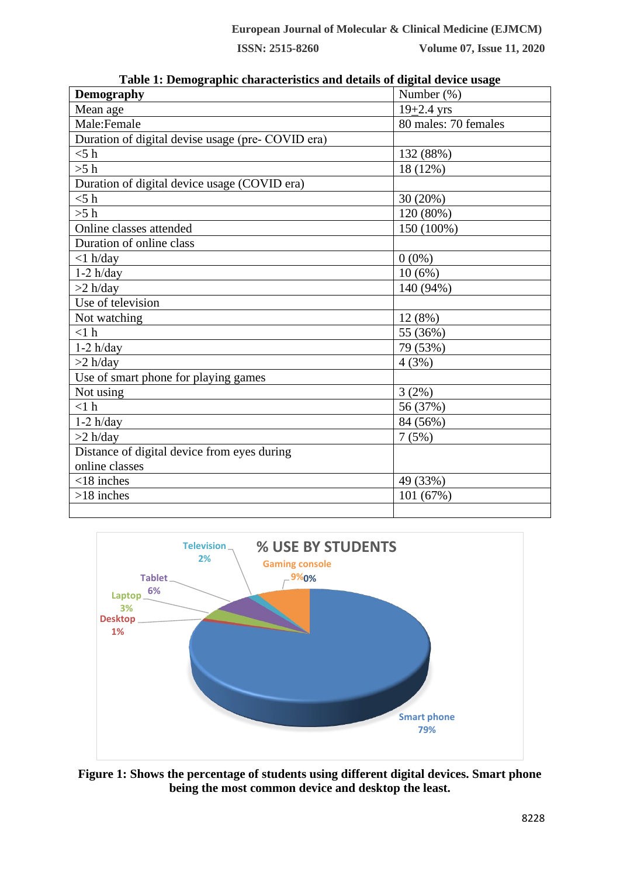| Demography                                        | Number $(\%)$        |
|---------------------------------------------------|----------------------|
| Mean age                                          | $19 + 2.4$ yrs       |
| Male:Female                                       | 80 males: 70 females |
| Duration of digital devise usage (pre- COVID era) |                      |
| $<$ 5 h                                           | 132 (88%)            |
| >5 h                                              | 18 (12%)             |
| Duration of digital device usage (COVID era)      |                      |
| $<$ 5 h                                           | 30 (20%)             |
| >5 h                                              | 120 (80%)            |
| Online classes attended                           | 150 (100%)           |
| Duration of online class                          |                      |
| $<$ 1 h/day                                       | $0(0\%)$             |
| $1-2 h/day$                                       | 10(6%)               |
| $>2$ h/day                                        | 140 (94%)            |
| Use of television                                 |                      |
| Not watching                                      | 12 (8%)              |
| <1 h                                              | 55 (36%)             |
| $1-2 h/day$                                       | 79 (53%)             |
| $>2$ h/day                                        | 4(3%)                |
| Use of smart phone for playing games              |                      |
| Not using                                         | 3(2%)                |
| <1 h                                              | 56 (37%)             |
| $1-2 h/day$                                       | 84 (56%)             |
| $>2$ h/day                                        | 7(5%)                |
| Distance of digital device from eyes during       |                      |
| online classes                                    |                      |
| $<$ 18 inches                                     | 49 (33%)             |
| $>18$ inches                                      | 101 (67%)            |
|                                                   |                      |

**Table 1: Demographic characteristics and details of digital device usage**



**Figure 1: Shows the percentage of students using different digital devices. Smart phone being the most common device and desktop the least.**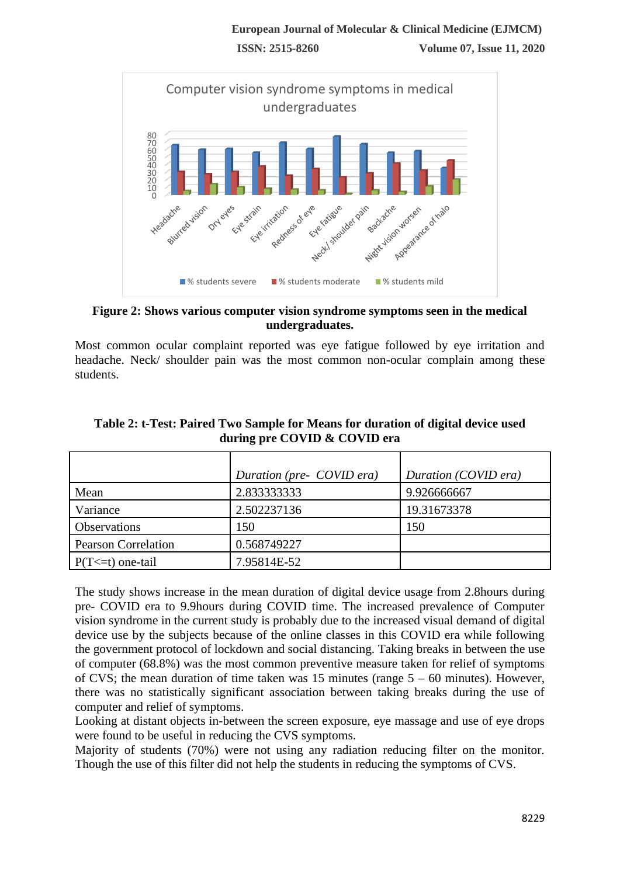

**Figure 2: Shows various computer vision syndrome symptoms seen in the medical undergraduates.**

Most common ocular complaint reported was eye fatigue followed by eye irritation and headache. Neck/ shoulder pain was the most common non-ocular complain among these students.

|                            | Duration (pre- COVID era) | Duration (COVID era) |
|----------------------------|---------------------------|----------------------|
| Mean                       | 2.833333333               | 9.926666667          |
| Variance                   | 2.502237136               | 19.31673378          |
| <b>Observations</b>        | 150                       | 150                  |
| <b>Pearson Correlation</b> | 0.568749227               |                      |
| $P(T \le t)$ one-tail      | 7.95814E-52               |                      |

**Table 2: t-Test: Paired Two Sample for Means for duration of digital device used during pre COVID & COVID era**

The study shows increase in the mean duration of digital device usage from 2.8hours during pre- COVID era to 9.9hours during COVID time. The increased prevalence of Computer vision syndrome in the current study is probably due to the increased visual demand of digital device use by the subjects because of the online classes in this COVID era while following the government protocol of lockdown and social distancing. Taking breaks in between the use of computer (68.8%) was the most common preventive measure taken for relief of symptoms of CVS; the mean duration of time taken was 15 minutes (range  $5 - 60$  minutes). However, there was no statistically significant association between taking breaks during the use of computer and relief of symptoms.

Looking at distant objects in-between the screen exposure, eye massage and use of eye drops were found to be useful in reducing the CVS symptoms.

Majority of students (70%) were not using any radiation reducing filter on the monitor. Though the use of this filter did not help the students in reducing the symptoms of CVS.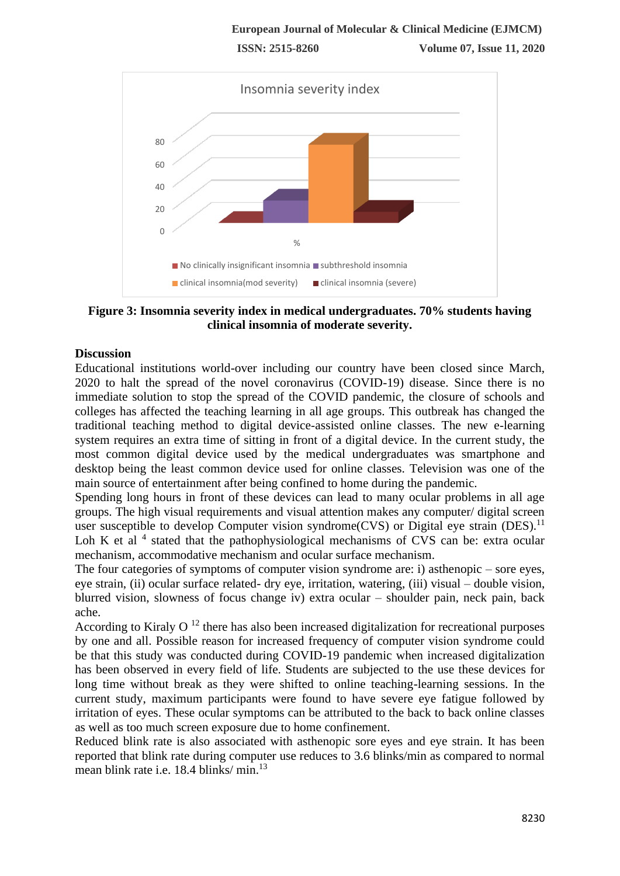

**Figure 3: Insomnia severity index in medical undergraduates. 70% students having clinical insomnia of moderate severity.**

## **Discussion**

Educational institutions world-over including our country have been closed since March, 2020 to halt the spread of the novel coronavirus (COVID-19) disease. Since there is no immediate solution to stop the spread of the COVID pandemic, the closure of schools and colleges has affected the teaching learning in all age groups. This outbreak has changed the traditional teaching method to digital device‑assisted online classes. The new e‑learning system requires an extra time of sitting in front of a digital device. In the current study, the most common digital device used by the medical undergraduates was smartphone and desktop being the least common device used for online classes. Television was one of the main source of entertainment after being confined to home during the pandemic.

Spending long hours in front of these devices can lead to many ocular problems in all age groups. The high visual requirements and visual attention makes any computer/ digital screen user susceptible to develop Computer vision syndrome  $(CVS)$  or Digital eye strain  $(DES).<sup>11</sup>$ Loh K et al  $<sup>4</sup>$  stated that the pathophysiological mechanisms of CVS can be: extra ocular</sup> mechanism, accommodative mechanism and ocular surface mechanism.

The four categories of symptoms of computer vision syndrome are: i) asthenopic – sore eyes, eye strain, (ii) ocular surface related- dry eye, irritation, watering, (iii) visual – double vision, blurred vision, slowness of focus change iv) extra ocular – shoulder pain, neck pain, back ache.

According to Kiraly  $O<sup>12</sup>$  there has also been increased digitalization for recreational purposes by one and all. Possible reason for increased frequency of computer vision syndrome could be that this study was conducted during COVID-19 pandemic when increased digitalization has been observed in every field of life. Students are subjected to the use these devices for long time without break as they were shifted to online teaching-learning sessions. In the current study, maximum participants were found to have severe eye fatigue followed by irritation of eyes. These ocular symptoms can be attributed to the back to back online classes as well as too much screen exposure due to home confinement.

Reduced blink rate is also associated with asthenopic sore eyes and eye strain. It has been reported that blink rate during computer use reduces to 3.6 blinks/min as compared to normal mean blink rate i.e. 18.4 blinks/ min.<sup>13</sup>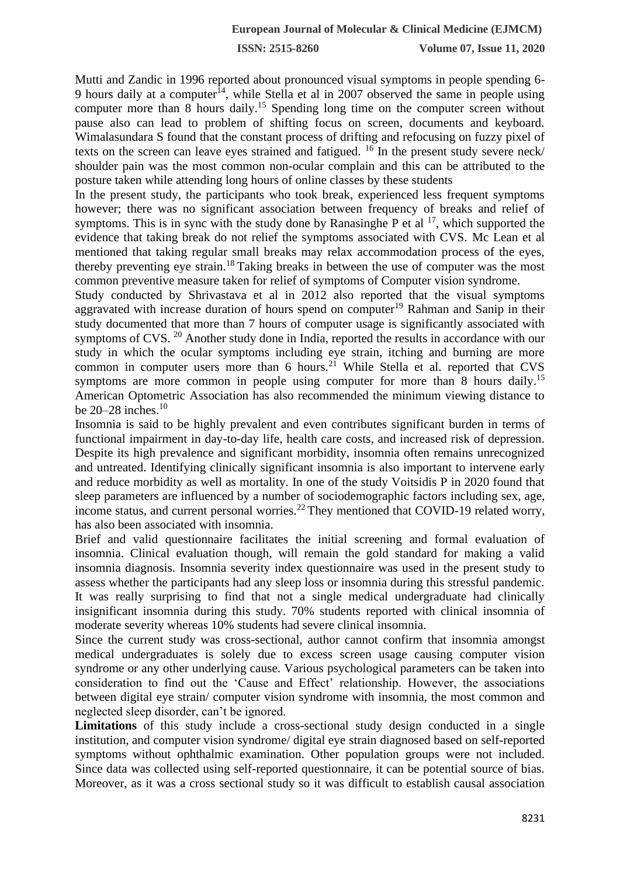Mutti and Zandic in 1996 reported about pronounced visual symptoms in people spending 6- 9 hours daily at a computer<sup>14</sup>, while Stella et al in 2007 observed the same in people using computer more than 8 hours daily.<sup>15</sup> Spending long time on the computer screen without pause also can lead to problem of shifting focus on screen, documents and keyboard. Wimalasundara S found that the constant process of drifting and refocusing on fuzzy pixel of texts on the screen can leave eyes strained and fatigued. <sup>16</sup> In the present study severe neck/ shoulder pain was the most common non-ocular complain and this can be attributed to the posture taken while attending long hours of online classes by these students

In the present study, the participants who took break, experienced less frequent symptoms however; there was no significant association between frequency of breaks and relief of symptoms. This is in sync with the study done by Ranasinghe P et al  $^{17}$ , which supported the evidence that taking break do not relief the symptoms associated with CVS. Mc Lean et al mentioned that taking regular small breaks may relax accommodation process of the eyes, thereby preventing eye strain.<sup>18</sup> Taking breaks in between the use of computer was the most common preventive measure taken for relief of symptoms of Computer vision syndrome.

Study conducted by Shrivastava et al in 2012 also reported that the visual symptoms aggravated with increase duration of hours spend on computer<sup>19</sup> Rahman and Sanip in their study documented that more than 7 hours of computer usage is significantly associated with symptoms of CVS.<sup>20</sup> Another study done in India, reported the results in accordance with our study in which the ocular symptoms including eye strain, itching and burning are more common in computer users more than  $6$  hours.<sup>21</sup> While Stella et al. reported that CVS symptoms are more common in people using computer for more than 8 hours daily.<sup>15</sup> American Optometric Association has also recommended the minimum viewing distance to be 20–28 inches.<sup>10</sup>

Insomnia is said to be highly prevalent and even contributes significant burden in terms of functional impairment in day-to-day life, health care costs, and increased risk of depression. Despite its high prevalence and significant morbidity, insomnia often remains unrecognized and untreated. Identifying clinically significant insomnia is also important to intervene early and reduce morbidity as well as mortality. In one of the study Voitsidis P in 2020 found that sleep parameters are influenced by a number of sociodemographic factors including sex, age, income status, and current personal worries.<sup>22</sup> They mentioned that COVID-19 related worry, has also been associated with insomnia.

Brief and valid questionnaire facilitates the initial screening and formal evaluation of insomnia. Clinical evaluation though, will remain the gold standard for making a valid insomnia diagnosis. Insomnia severity index questionnaire was used in the present study to assess whether the participants had any sleep loss or insomnia during this stressful pandemic. It was really surprising to find that not a single medical undergraduate had clinically insignificant insomnia during this study. 70% students reported with clinical insomnia of moderate severity whereas 10% students had severe clinical insomnia.

Since the current study was cross-sectional, author cannot confirm that insomnia amongst medical undergraduates is solely due to excess screen usage causing computer vision syndrome or any other underlying cause. Various psychological parameters can be taken into consideration to find out the 'Cause and Effect' relationship. However, the associations between digital eye strain/ computer vision syndrome with insomnia, the most common and neglected sleep disorder, can't be ignored.

Limitations of this study include a cross-sectional study design conducted in a single institution, and computer vision syndrome/ digital eye strain diagnosed based on self-reported symptoms without ophthalmic examination. Other population groups were not included. Since data was collected using self-reported questionnaire, it can be potential source of bias. Moreover, as it was a cross sectional study so it was difficult to establish causal association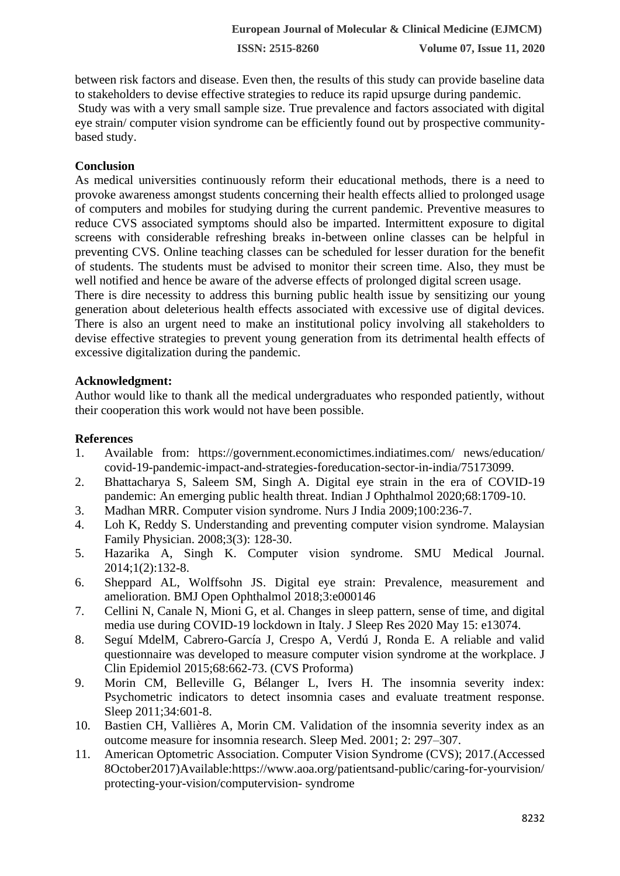between risk factors and disease. Even then, the results of this study can provide baseline data to stakeholders to devise effective strategies to reduce its rapid upsurge during pandemic. Study was with a very small sample size. True prevalence and factors associated with digital eye strain/ computer vision syndrome can be efficiently found out by prospective communitybased study.

# **Conclusion**

As medical universities continuously reform their educational methods, there is a need to provoke awareness amongst students concerning their health effects allied to prolonged usage of computers and mobiles for studying during the current pandemic. Preventive measures to reduce CVS associated symptoms should also be imparted. Intermittent exposure to digital screens with considerable refreshing breaks in-between online classes can be helpful in preventing CVS. Online teaching classes can be scheduled for lesser duration for the benefit of students. The students must be advised to monitor their screen time. Also, they must be well notified and hence be aware of the adverse effects of prolonged digital screen usage.

There is dire necessity to address this burning public health issue by sensitizing our young generation about deleterious health effects associated with excessive use of digital devices. There is also an urgent need to make an institutional policy involving all stakeholders to devise effective strategies to prevent young generation from its detrimental health effects of excessive digitalization during the pandemic.

## **Acknowledgment:**

Author would like to thank all the medical undergraduates who responded patiently, without their cooperation this work would not have been possible.

## **References**

- 1. Available from: https://government.economictimes.indiatimes.com/ news/education/ covid-19-pandemic-impact-and-strategies-foreducation-sector-in-india/75173099.
- 2. Bhattacharya S, Saleem SM, Singh A. Digital eye strain in the era of COVID-19 pandemic: An emerging public health threat. Indian J Ophthalmol 2020;68:1709-10.
- 3. Madhan MRR. Computer vision syndrome. Nurs J India 2009;100:236‑7.
- 4. Loh K, Reddy S. Understanding and preventing computer vision syndrome. Malaysian Family Physician. 2008;3(3): 128-30.
- 5. Hazarika A, Singh K. Computer vision syndrome. SMU Medical Journal. 2014;1(2):132-8.
- 6. Sheppard AL, Wolffsohn JS. Digital eye strain: Prevalence, measurement and amelioration. BMJ Open Ophthalmol 2018;3:e000146
- 7. Cellini N, Canale N, Mioni G, et al. Changes in sleep pattern, sense of time, and digital media use during COVID-19 lockdown in Italy. J Sleep Res 2020 May 15: e13074.
- 8. Seguí MdelM, Cabrero-García J, Crespo A, Verdú J, Ronda E. A reliable and valid questionnaire was developed to measure computer vision syndrome at the workplace. J Clin Epidemiol 2015;68:662‑73. (CVS Proforma)
- 9. Morin CM, Belleville G, Bélanger L, Ivers H. The insomnia severity index: Psychometric indicators to detect insomnia cases and evaluate treatment response. Sleep 2011;34:601-8.
- 10. Bastien CH, Vallières A, Morin CM. Validation of the insomnia severity index as an outcome measure for insomnia research. Sleep Med. 2001; 2: 297–307.
- 11. American Optometric Association. Computer Vision Syndrome (CVS); 2017.(Accessed 8October2017)Available:https://www.aoa.org/patientsand-public/caring-for-yourvision/ protecting-your-vision/computervision- syndrome